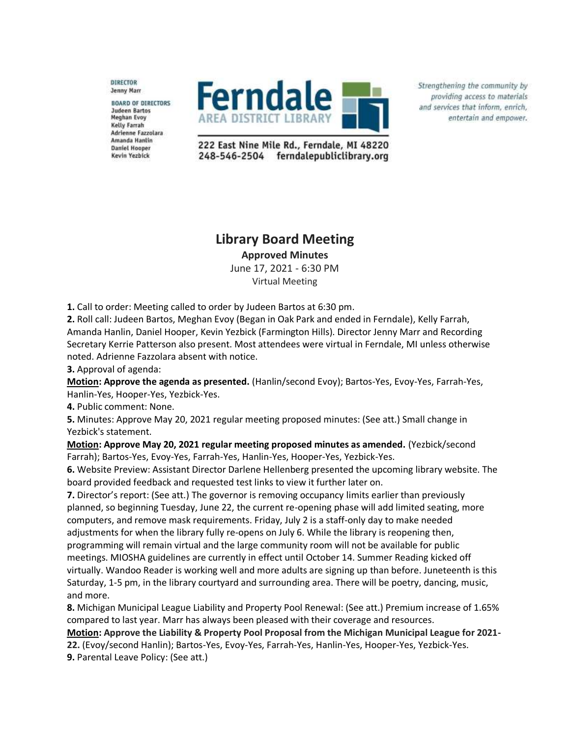DIRECTOR Jenny Marr

**BOARD OF DIRECTORS** Judeen Bartos **Meghan Evoy** Kelly Farrah Adrienne Fazzolara Amanda Hanlin **Daniel Hooper** Kevin Yezbick



Strengthening the community by providing access to materials and services that inform, enrich, entertain and empower.

222 East Nine Mile Rd., Ferndale, MI 48220 248-546-2504 ferndalepubliclibrary.org

## **Library Board Meeting Approved Minutes**

June 17, 2021 - 6:30 PM Virtual Meeting

**1.** Call to order: Meeting called to order by Judeen Bartos at 6:30 pm.

**2.** Roll call: Judeen Bartos, Meghan Evoy (Began in Oak Park and ended in Ferndale), Kelly Farrah, Amanda Hanlin, Daniel Hooper, Kevin Yezbick (Farmington Hills). Director Jenny Marr and Recording Secretary Kerrie Patterson also present. Most attendees were virtual in Ferndale, MI unless otherwise noted. Adrienne Fazzolara absent with notice.

**3.** Approval of agenda:

**Motion: Approve the agenda as presented.** (Hanlin/second Evoy); Bartos-Yes, Evoy-Yes, Farrah-Yes, Hanlin-Yes, Hooper-Yes, Yezbick-Yes.

**4.** Public comment: None.

**5.** Minutes: Approve May 20, 2021 regular meeting proposed minutes: (See att.) Small change in Yezbick's statement.

**Motion: Approve May 20, 2021 regular meeting proposed minutes as amended.** (Yezbick/second Farrah); Bartos-Yes, Evoy-Yes, Farrah-Yes, Hanlin-Yes, Hooper-Yes, Yezbick-Yes.

**6.** Website Preview: Assistant Director Darlene Hellenberg presented the upcoming library website. The board provided feedback and requested test links to view it further later on.

**7.** Director's report: (See att.) The governor is removing occupancy limits earlier than previously planned, so beginning Tuesday, June 22, the current re-opening phase will add limited seating, more computers, and remove mask requirements. Friday, July 2 is a staff-only day to make needed adjustments for when the library fully re-opens on July 6. While the library is reopening then, programming will remain virtual and the large community room will not be available for public meetings. MIOSHA guidelines are currently in effect until October 14. Summer Reading kicked off virtually. Wandoo Reader is working well and more adults are signing up than before. Juneteenth is this Saturday, 1-5 pm, in the library courtyard and surrounding area. There will be poetry, dancing, music, and more.

**8.** Michigan Municipal League Liability and Property Pool Renewal: (See att.) Premium increase of 1.65% compared to last year. Marr has always been pleased with their coverage and resources.

**Motion: Approve the Liability & Property Pool Proposal from the Michigan Municipal League for 2021- 22.** (Evoy/second Hanlin); Bartos-Yes, Evoy-Yes, Farrah-Yes, Hanlin-Yes, Hooper-Yes, Yezbick-Yes.

**9.** Parental Leave Policy: (See att.)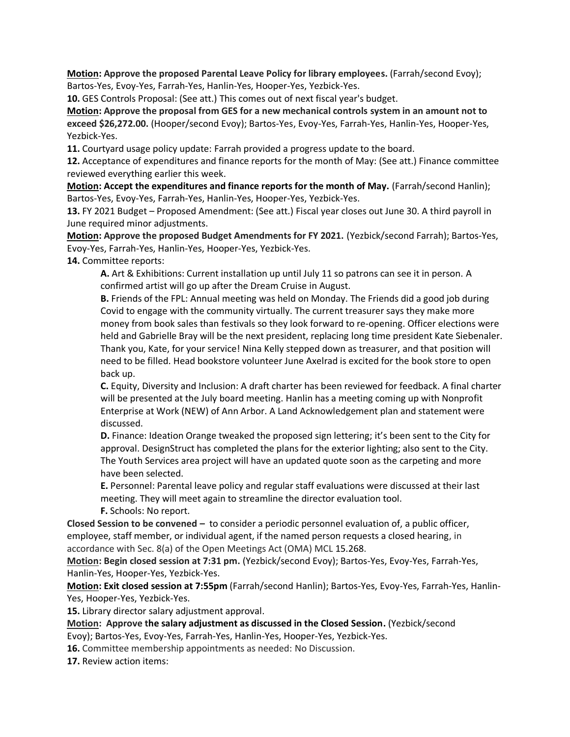**Motion: Approve the proposed Parental Leave Policy for library employees.** (Farrah/second Evoy); Bartos-Yes, Evoy-Yes, Farrah-Yes, Hanlin-Yes, Hooper-Yes, Yezbick-Yes.

**10.** GES Controls Proposal: (See att.) This comes out of next fiscal year's budget.

**Motion: Approve the proposal from GES for a new mechanical controls system in an amount not to exceed \$26,272.00.** (Hooper/second Evoy); Bartos-Yes, Evoy-Yes, Farrah-Yes, Hanlin-Yes, Hooper-Yes, Yezbick-Yes.

**11.** Courtyard usage policy update: Farrah provided a progress update to the board.

**12.** Acceptance of expenditures and finance reports for the month of May: (See att.) Finance committee reviewed everything earlier this week.

**Motion: Accept the expenditures and finance reports for the month of May.** (Farrah/second Hanlin); Bartos-Yes, Evoy-Yes, Farrah-Yes, Hanlin-Yes, Hooper-Yes, Yezbick-Yes.

**13.** FY 2021 Budget – Proposed Amendment: (See att.) Fiscal year closes out June 30. A third payroll in June required minor adjustments.

**Motion: Approve the proposed Budget Amendments for FY 2021.** (Yezbick/second Farrah); Bartos-Yes, Evoy-Yes, Farrah-Yes, Hanlin-Yes, Hooper-Yes, Yezbick-Yes.

**14.** Committee reports:

**A.** Art & Exhibitions: Current installation up until July 11 so patrons can see it in person. A confirmed artist will go up after the Dream Cruise in August.

**B.** Friends of the FPL: Annual meeting was held on Monday. The Friends did a good job during Covid to engage with the community virtually. The current treasurer says they make more money from book sales than festivals so they look forward to re-opening. Officer elections were held and Gabrielle Bray will be the next president, replacing long time president Kate Siebenaler. Thank you, Kate, for your service! Nina Kelly stepped down as treasurer, and that position will need to be filled. Head bookstore volunteer June Axelrad is excited for the book store to open back up.

**C.** Equity, Diversity and Inclusion: A draft charter has been reviewed for feedback. A final charter will be presented at the July board meeting. Hanlin has a meeting coming up with Nonprofit Enterprise at Work (NEW) of Ann Arbor. A Land Acknowledgement plan and statement were discussed.

**D.** Finance: Ideation Orange tweaked the proposed sign lettering; it's been sent to the City for approval. DesignStruct has completed the plans for the exterior lighting; also sent to the City. The Youth Services area project will have an updated quote soon as the carpeting and more have been selected.

**E.** Personnel: Parental leave policy and regular staff evaluations were discussed at their last meeting. They will meet again to streamline the director evaluation tool.

**F.** Schools: No report.

**Closed Session to be convened –** to consider a periodic personnel evaluation of, a public officer, employee, staff member, or individual agent, if the named person requests a closed hearing, in accordance with Sec. 8(a) of the Open Meetings Act (OMA) MCL 15.268.

**Motion: Begin closed session at 7:31 pm.** (Yezbick/second Evoy); Bartos-Yes, Evoy-Yes, Farrah-Yes, Hanlin-Yes, Hooper-Yes, Yezbick-Yes.

**Motion: Exit closed session at 7:55pm** (Farrah/second Hanlin); Bartos-Yes, Evoy-Yes, Farrah-Yes, Hanlin-Yes, Hooper-Yes, Yezbick-Yes.

**15.** Library director salary adjustment approval.

**Motion: Approve the salary adjustment as discussed in the Closed Session.** (Yezbick/second Evoy); Bartos-Yes, Evoy-Yes, Farrah-Yes, Hanlin-Yes, Hooper-Yes, Yezbick-Yes.

**16.** Committee membership appointments as needed: No Discussion.

**17.** Review action items: